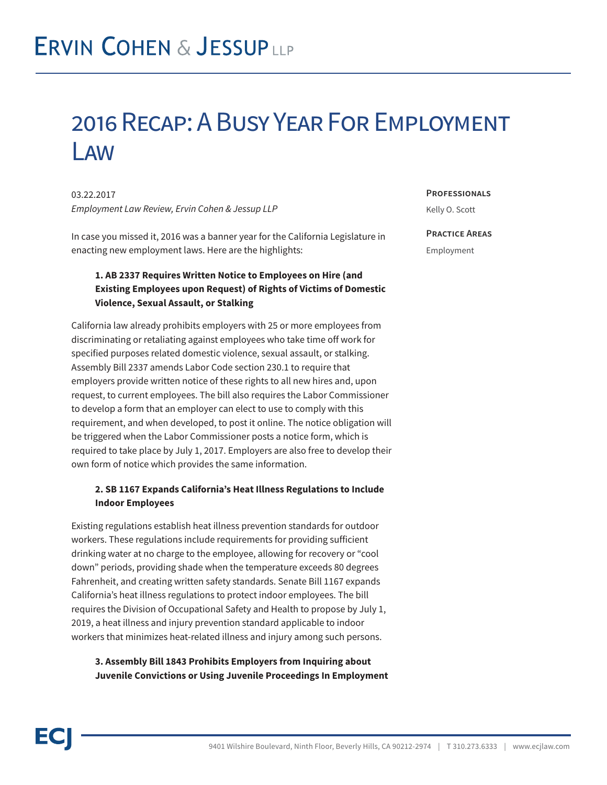## 2016 Recap: A Busy Year For Employment Law

03.22.2017 *Employment Law Review, Ervin Cohen & Jessup LLP*

In case you missed it, 2016 was a banner year for the California Legislature in enacting new employment laws. Here are the highlights:

## **1. AB 2337 Requires Written Notice to Employees on Hire (and Existing Employees upon Request) of Rights of Victims of Domestic Violence, Sexual Assault, or Stalking**

California law already prohibits employers with 25 or more employees from discriminating or retaliating against employees who take time off work for specified purposes related domestic violence, sexual assault, or stalking. Assembly Bill 2337 amends Labor Code section 230.1 to require that employers provide written notice of these rights to all new hires and, upon request, to current employees. The bill also requires the Labor Commissioner to develop a form that an employer can elect to use to comply with this requirement, and when developed, to post it online. The notice obligation will be triggered when the Labor Commissioner posts a notice form, which is required to take place by July 1, 2017. Employers are also free to develop their own form of notice which provides the same information.

#### **2. SB 1167 Expands California's Heat Illness Regulations to Include Indoor Employees**

Existing regulations establish heat illness prevention standards for outdoor workers. These regulations include requirements for providing sufficient drinking water at no charge to the employee, allowing for recovery or "cool down" periods, providing shade when the temperature exceeds 80 degrees Fahrenheit, and creating written safety standards. Senate Bill 1167 expands California's heat illness regulations to protect indoor employees. The bill requires the Division of Occupational Safety and Health to propose by July 1, 2019, a heat illness and injury prevention standard applicable to indoor workers that minimizes heat-related illness and injury among such persons.

#### **3. Assembly Bill 1843 Prohibits Employers from Inquiring about Juvenile Convictions or Using Juvenile Proceedings In Employment**

**Professionals**

Kelly O. Scott

#### **Practice Areas**

Employment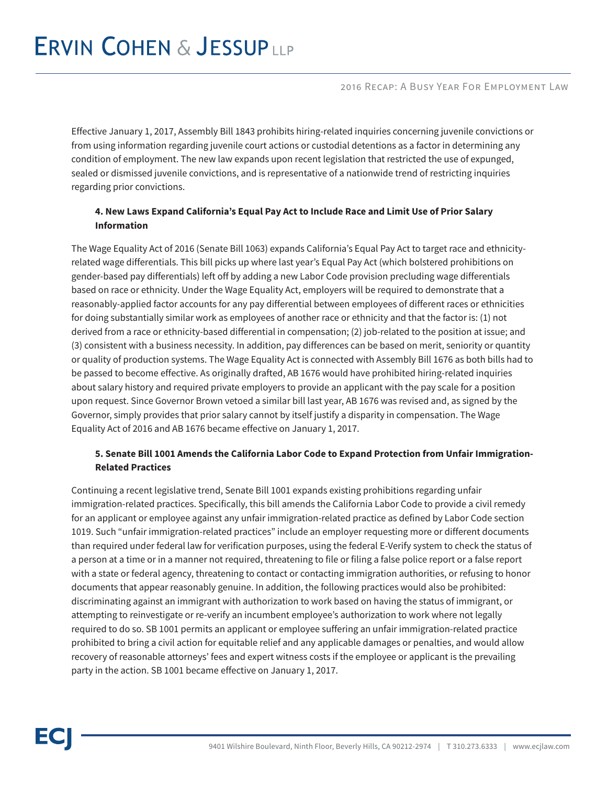# **ERVIN COHEN & JESSUPLLP**

2016 Recap: A Busy Year For Employment Law

Effective January 1, 2017, Assembly Bill 1843 prohibits hiring-related inquiries concerning juvenile convictions or from using information regarding juvenile court actions or custodial detentions as a factor in determining any condition of employment. The new law expands upon recent legislation that restricted the use of expunged, sealed or dismissed juvenile convictions, and is representative of a nationwide trend of restricting inquiries regarding prior convictions.

## **4. New Laws Expand California's Equal Pay Act to Include Race and Limit Use of Prior Salary Information**

The Wage Equality Act of 2016 (Senate Bill 1063) expands California's Equal Pay Act to target race and ethnicityrelated wage differentials. This bill picks up where last year's Equal Pay Act (which bolstered prohibitions on gender-based pay differentials) left off by adding a new Labor Code provision precluding wage differentials based on race or ethnicity. Under the Wage Equality Act, employers will be required to demonstrate that a reasonably-applied factor accounts for any pay differential between employees of different races or ethnicities for doing substantially similar work as employees of another race or ethnicity and that the factor is: (1) not derived from a race or ethnicity-based differential in compensation; (2) job-related to the position at issue; and (3) consistent with a business necessity. In addition, pay differences can be based on merit, seniority or quantity or quality of production systems. The Wage Equality Act is connected with Assembly Bill 1676 as both bills had to be passed to become effective. As originally drafted, AB 1676 would have prohibited hiring-related inquiries about salary history and required private employers to provide an applicant with the pay scale for a position upon request. Since Governor Brown vetoed a similar bill last year, AB 1676 was revised and, as signed by the Governor, simply provides that prior salary cannot by itself justify a disparity in compensation. The Wage Equality Act of 2016 and AB 1676 became effective on January 1, 2017.

### **5. Senate Bill 1001 Amends the California Labor Code to Expand Protection from Unfair Immigration-Related Practices**

Continuing a recent legislative trend, Senate Bill 1001 expands existing prohibitions regarding unfair immigration-related practices. Specifically, this bill amends the California Labor Code to provide a civil remedy for an applicant or employee against any unfair immigration-related practice as defined by Labor Code section 1019. Such "unfair immigration-related practices" include an employer requesting more or different documents than required under federal law for verification purposes, using the federal E-Verify system to check the status of a person at a time or in a manner not required, threatening to file or filing a false police report or a false report with a state or federal agency, threatening to contact or contacting immigration authorities, or refusing to honor documents that appear reasonably genuine. In addition, the following practices would also be prohibited: discriminating against an immigrant with authorization to work based on having the status of immigrant, or attempting to reinvestigate or re-verify an incumbent employee's authorization to work where not legally required to do so. SB 1001 permits an applicant or employee suffering an unfair immigration-related practice prohibited to bring a civil action for equitable relief and any applicable damages or penalties, and would allow recovery of reasonable attorneys' fees and expert witness costs if the employee or applicant is the prevailing party in the action. SB 1001 became effective on January 1, 2017.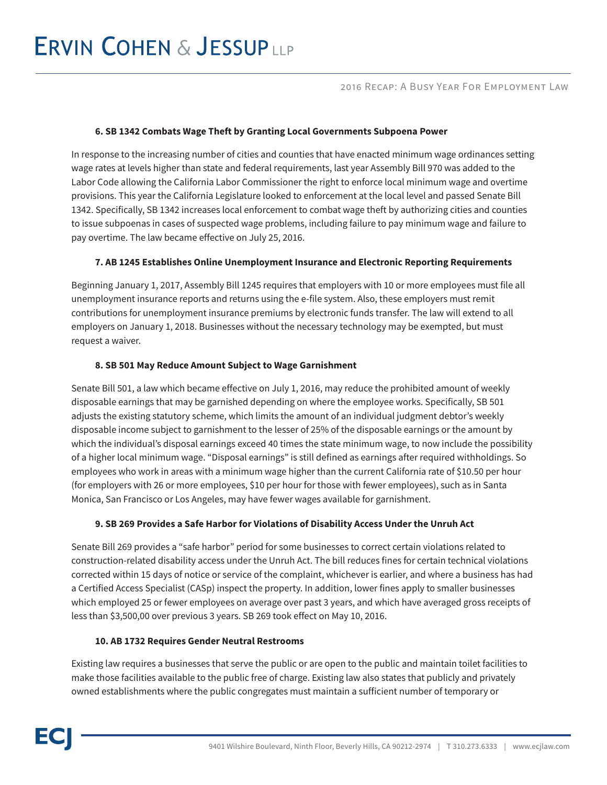# **ERVIN COHEN & JESSUPLLP**

#### **6. SB 1342 Combats Wage Theft by Granting Local Governments Subpoena Power**

In response to the increasing number of cities and counties that have enacted minimum wage ordinances setting wage rates at levels higher than state and federal requirements, last year Assembly Bill 970 was added to the Labor Code allowing the California Labor Commissioner the right to enforce local minimum wage and overtime provisions. This year the California Legislature looked to enforcement at the local level and passed Senate Bill 1342. Specifically, SB 1342 increases local enforcement to combat wage theft by authorizing cities and counties to issue subpoenas in cases of suspected wage problems, including failure to pay minimum wage and failure to pay overtime. The law became effective on July 25, 2016.

#### **7. AB 1245 Establishes Online Unemployment Insurance and Electronic Reporting Requirements**

Beginning January 1, 2017, Assembly Bill 1245 requires that employers with 10 or more employees must file all unemployment insurance reports and returns using the e-file system. Also, these employers must remit contributions for unemployment insurance premiums by electronic funds transfer. The law will extend to all employers on January 1, 2018. Businesses without the necessary technology may be exempted, but must request a waiver.

#### **8. SB 501 May Reduce Amount Subject to Wage Garnishment**

Senate Bill 501, a law which became effective on July 1, 2016, may reduce the prohibited amount of weekly disposable earnings that may be garnished depending on where the employee works. Specifically, SB 501 adjusts the existing statutory scheme, which limits the amount of an individual judgment debtor's weekly disposable income subject to garnishment to the lesser of 25% of the disposable earnings or the amount by which the individual's disposal earnings exceed 40 times the state minimum wage, to now include the possibility of a higher local minimum wage. "Disposal earnings" is still defined as earnings after required withholdings. So employees who work in areas with a minimum wage higher than the current California rate of \$10.50 per hour (for employers with 26 or more employees, \$10 per hour for those with fewer employees), such as in Santa Monica, San Francisco or Los Angeles, may have fewer wages available for garnishment.

#### **9. SB 269 Provides a Safe Harbor for Violations of Disability Access Under the Unruh Act**

Senate Bill 269 provides a "safe harbor" period for some businesses to correct certain violations related to construction-related disability access under the Unruh Act. The bill reduces fines for certain technical violations corrected within 15 days of notice or service of the complaint, whichever is earlier, and where a business has had a Certified Access Specialist (CASp) inspect the property. In addition, lower fines apply to smaller businesses which employed 25 or fewer employees on average over past 3 years, and which have averaged gross receipts of less than \$3,500,00 over previous 3 years. SB 269 took effect on May 10, 2016.

#### **10. AB 1732 Requires Gender Neutral Restrooms**

Existing law requires a businesses that serve the public or are open to the public and maintain toilet facilities to make those facilities available to the public free of charge. Existing law also states that publicly and privately owned establishments where the public congregates must maintain a sufficient number of temporary or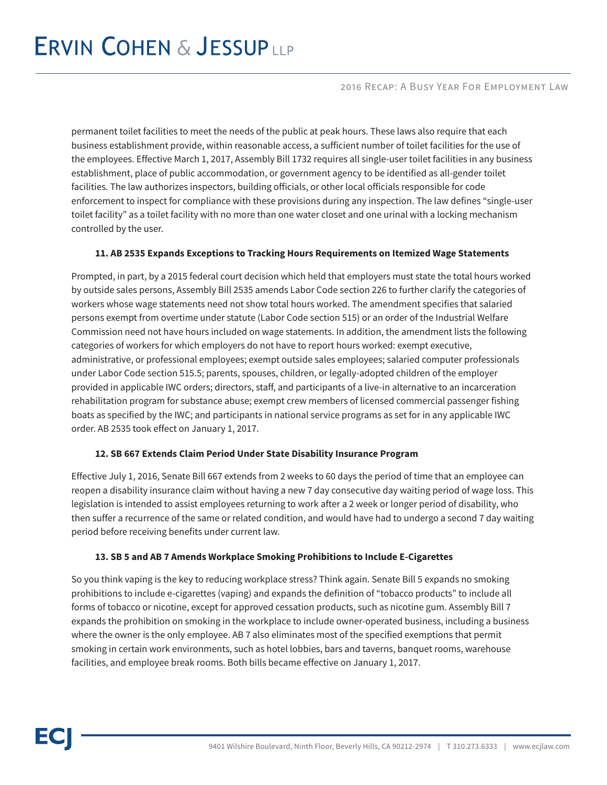#### 2016 Recap: A Busy Year For Employment Law

permanent toilet facilities to meet the needs of the public at peak hours. These laws also require that each business establishment provide, within reasonable access, a sufficient number of toilet facilities for the use of the employees. Effective March 1, 2017, Assembly Bill 1732 requires all single-user toilet facilities in any business establishment, place of public accommodation, or government agency to be identified as all-gender toilet facilities. The law authorizes inspectors, building officials, or other local officials responsible for code enforcement to inspect for compliance with these provisions during any inspection. The law defines "single-user toilet facility" as a toilet facility with no more than one water closet and one urinal with a locking mechanism controlled by the user.

#### **11. AB 2535 Expands Exceptions to Tracking Hours Requirements on Itemized Wage Statements**

Prompted, in part, by a 2015 federal court decision which held that employers must state the total hours worked by outside sales persons, Assembly Bill 2535 amends Labor Code section 226 to further clarify the categories of workers whose wage statements need not show total hours worked. The amendment specifies that salaried persons exempt from overtime under statute (Labor Code section 515) or an order of the Industrial Welfare Commission need not have hours included on wage statements. In addition, the amendment lists the following categories of workers for which employers do not have to report hours worked: exempt executive, administrative, or professional employees; exempt outside sales employees; salaried computer professionals under Labor Code section 515.5; parents, spouses, children, or legally-adopted children of the employer provided in applicable IWC orders; directors, staff, and participants of a live-in alternative to an incarceration rehabilitation program for substance abuse; exempt crew members of licensed commercial passenger fishing boats as specified by the IWC; and participants in national service programs as set for in any applicable IWC order. AB 2535 took effect on January 1, 2017.

#### **12. SB 667 Extends Claim Period Under State Disability Insurance Program**

Effective July 1, 2016, Senate Bill 667 extends from 2 weeks to 60 days the period of time that an employee can reopen a disability insurance claim without having a new 7 day consecutive day waiting period of wage loss. This legislation is intended to assist employees returning to work after a 2 week or longer period of disability, who then suffer a recurrence of the same or related condition, and would have had to undergo a second 7 day waiting period before receiving benefits under current law.

### **13. SB 5 and AB 7 Amends Workplace Smoking Prohibitions to Include E-Cigarettes**

So you think vaping is the key to reducing workplace stress? Think again. Senate Bill 5 expands no smoking prohibitions to include e-cigarettes (vaping) and expands the definition of "tobacco products" to include all forms of tobacco or nicotine, except for approved cessation products, such as nicotine gum. Assembly Bill 7 expands the prohibition on smoking in the workplace to include owner-operated business, including a business where the owner is the only employee. AB 7 also eliminates most of the specified exemptions that permit smoking in certain work environments, such as hotel lobbies, bars and taverns, banquet rooms, warehouse facilities, and employee break rooms. Both bills became effective on January 1, 2017.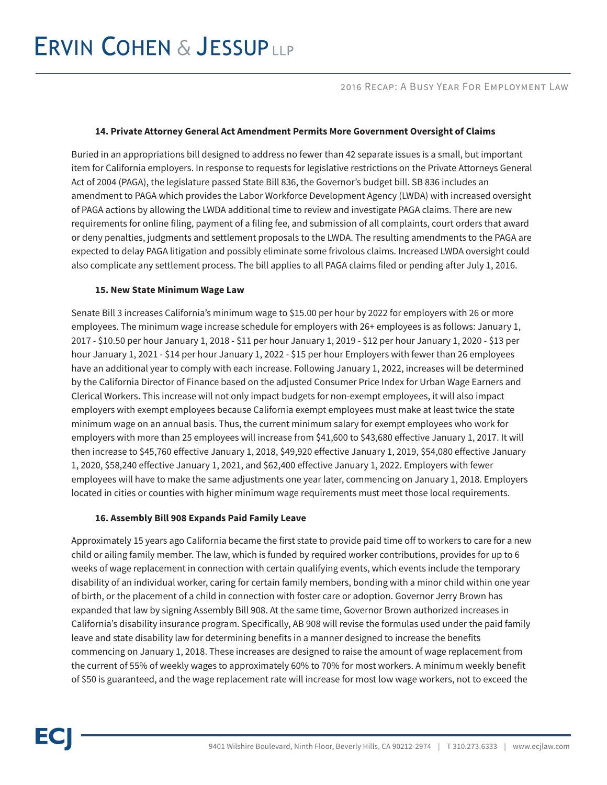# **ERVIN COHEN & JESSUPLLP**

#### 2016 Recap: A Busy Year For Employment Law

#### **14. Private Attorney General Act Amendment Permits More Government Oversight of Claims**

Buried in an appropriations bill designed to address no fewer than 42 separate issues is a small, but important item for California employers. In response to requests for legislative restrictions on the Private Attorneys General Act of 2004 (PAGA), the legislature passed State Bill 836, the Governor's budget bill. SB 836 includes an amendment to PAGA which provides the Labor Workforce Development Agency (LWDA) with increased oversight of PAGA actions by allowing the LWDA additional time to review and investigate PAGA claims. There are new requirements for online filing, payment of a filing fee, and submission of all complaints, court orders that award or deny penalties, judgments and settlement proposals to the LWDA. The resulting amendments to the PAGA are expected to delay PAGA litigation and possibly eliminate some frivolous claims. Increased LWDA oversight could also complicate any settlement process. The bill applies to all PAGA claims filed or pending after July 1, 2016.

#### **15. New State Minimum Wage Law**

Senate Bill 3 increases California's minimum wage to \$15.00 per hour by 2022 for employers with 26 or more employees. The minimum wage increase schedule for employers with 26+ employees is as follows: January 1, 2017 - \$10.50 per hour January 1, 2018 - \$11 per hour January 1, 2019 - \$12 per hour January 1, 2020 - \$13 per hour January 1, 2021 - \$14 per hour January 1, 2022 - \$15 per hour Employers with fewer than 26 employees have an additional year to comply with each increase. Following January 1, 2022, increases will be determined by the California Director of Finance based on the adjusted Consumer Price Index for Urban Wage Earners and Clerical Workers. This increase will not only impact budgets for non-exempt employees, it will also impact employers with exempt employees because California exempt employees must make at least twice the state minimum wage on an annual basis. Thus, the current minimum salary for exempt employees who work for employers with more than 25 employees will increase from \$41,600 to \$43,680 effective January 1, 2017. It will then increase to \$45,760 effective January 1, 2018, \$49,920 effective January 1, 2019, \$54,080 effective January 1, 2020, \$58,240 effective January 1, 2021, and \$62,400 effective January 1, 2022. Employers with fewer employees will have to make the same adjustments one year later, commencing on January 1, 2018. Employers located in cities or counties with higher minimum wage requirements must meet those local requirements.

#### **16. Assembly Bill 908 Expands Paid Family Leave**

Approximately 15 years ago California became the first state to provide paid time off to workers to care for a new child or ailing family member. The law, which is funded by required worker contributions, provides for up to 6 weeks of wage replacement in connection with certain qualifying events, which events include the temporary disability of an individual worker, caring for certain family members, bonding with a minor child within one year of birth, or the placement of a child in connection with foster care or adoption. Governor Jerry Brown has expanded that law by signing Assembly Bill 908. At the same time, Governor Brown authorized increases in California's disability insurance program. Specifically, AB 908 will revise the formulas used under the paid family leave and state disability law for determining benefits in a manner designed to increase the benefits commencing on January 1, 2018. These increases are designed to raise the amount of wage replacement from the current of 55% of weekly wages to approximately 60% to 70% for most workers. A minimum weekly benefit of \$50 is guaranteed, and the wage replacement rate will increase for most low wage workers, not to exceed the